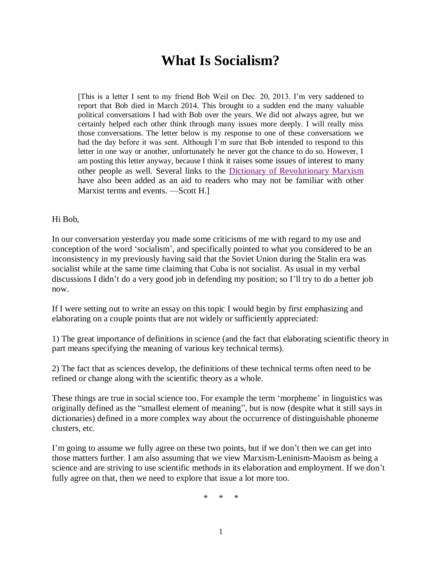## **What Is Socialism?**

[This is a letter I sent to my friend Bob Weil on Dec. 20, 2013. I'm very saddened to report that Bob died in March 2014. This brought to a sudden end the many valuable political conversations I had with Bob over the years. We did not always agree, but we certainly helped each other think through many issues more deeply. I will really miss those conversations. The letter below is my response to one of these conversations we had the day before it was sent. Although I'm sure that Bob intended to respond to this letter in one way or another, unfortunately he never got the chance to do so. However, I am posting this letter anyway, because I think it raises some issues of interest to many other people as well. Several links to the [Dictionary of Revolutionary Marxism](http://www.massline.org/Dictionary/index.htm) have also been added as an aid to readers who may not be familiar with other Marxist terms and events. - Scott H.

## Hi Bob,

In our conversation yesterday you made some criticisms of me with regard to my use and conception of the word 'socialism', and specifically pointed to what you considered to be an inconsistency in my previously having said that the Soviet Union during the Stalin era was socialist while at the same time claiming that Cuba is not socialist. As usual in my verbal discussions I didn't do a very good job in defending my position; so I'll try to do a better job now.

If I were setting out to write an essay on this topic I would begin by first emphasizing and elaborating on a couple points that are not widely or sufficiently appreciated:

1) The great importance of definitions in science (and the fact that elaborating scientific theory in part means specifying the meaning of various key technical terms).

2) The fact that as sciences develop, the definitions of these technical terms often need to be refined or change along with the scientific theory as a whole.

These things are true in social science too. For example the term 'morpheme' in linguistics was originally defined as the "smallest element of meaning", but is now (despite what it still says in dictionaries) defined in a more complex way about the occurrence of distinguishable phoneme clusters, etc.

I'm going to assume we fully agree on these two points, but if we don't then we can get into those matters further. I am also assuming that we view Marxism-Leninism-Maoism as being a science and are striving to use scientific methods in its elaboration and employment. If we don't fully agree on that, then we need to explore that issue a lot more too.

\* \* \*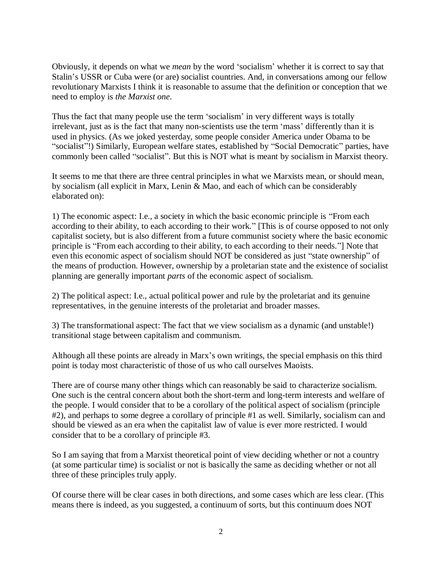Obviously, it depends on what we *mean* by the word 'socialism' whether it is correct to say that Stalin's USSR or Cuba were (or are) socialist countries. And, in conversations among our fellow revolutionary Marxists I think it is reasonable to assume that the definition or conception that we need to employ is *the Marxist one*.

Thus the fact that many people use the term 'socialism' in very different ways is totally irrelevant, just as is the fact that many non-scientists use the term 'mass' differently than it is used in physics. (As we joked yesterday, some people consider America under Obama to be "socialist"!) Similarly, European welfare states, established by "Social Democratic" parties, have commonly been called "socialist". But this is NOT what is meant by socialism in Marxist theory.

It seems to me that there are three central principles in what we Marxists mean, or should mean, by socialism (all explicit in Marx, Lenin & Mao, and each of which can be considerably elaborated on):

1) The economic aspect: I.e., a society in which the basic economic principle is "From each according to their ability, to each according to their work." [This is of course opposed to not only capitalist society, but is also different from a future communist society where the basic economic principle is "From each according to their ability, to each according to their needs."] Note that even this economic aspect of socialism should NOT be considered as just "state ownership" of the means of production. However, ownership by a proletarian state and the existence of socialist planning are generally important *parts* of the economic aspect of socialism.

2) The political aspect: I.e., actual political power and rule by the proletariat and its genuine representatives, in the genuine interests of the proletariat and broader masses.

3) The transformational aspect: The fact that we view socialism as a dynamic (and unstable!) transitional stage between capitalism and communism.

Although all these points are already in Marx's own writings, the special emphasis on this third point is today most characteristic of those of us who call ourselves Maoists.

There are of course many other things which can reasonably be said to characterize socialism. One such is the central concern about both the short-term and long-term interests and welfare of the people. I would consider that to be a corollary of the political aspect of socialism (principle #2), and perhaps to some degree a corollary of principle #1 as well. Similarly, socialism can and should be viewed as an era when the capitalist law of value is ever more restricted. I would consider that to be a corollary of principle #3.

So I am saying that from a Marxist theoretical point of view deciding whether or not a country (at some particular time) is socialist or not is basically the same as deciding whether or not all three of these principles truly apply.

Of course there will be clear cases in both directions, and some cases which are less clear. (This means there is indeed, as you suggested, a continuum of sorts, but this continuum does NOT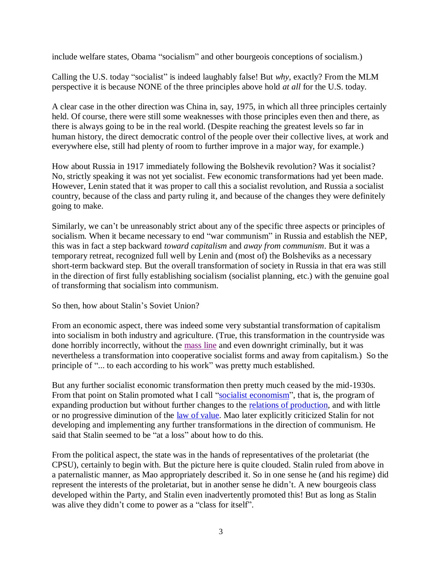include welfare states, Obama "socialism" and other bourgeois conceptions of socialism.)

Calling the U.S. today "socialist" is indeed laughably false! But *why*, exactly? From the MLM perspective it is because NONE of the three principles above hold *at all* for the U.S. today.

A clear case in the other direction was China in, say, 1975, in which all three principles certainly held. Of course, there were still some weaknesses with those principles even then and there, as there is always going to be in the real world. (Despite reaching the greatest levels so far in human history, the direct democratic control of the people over their collective lives, at work and everywhere else, still had plenty of room to further improve in a major way, for example.)

How about Russia in 1917 immediately following the Bolshevik revolution? Was it socialist? No, strictly speaking it was not yet socialist. Few economic transformations had yet been made. However, Lenin stated that it was proper to call this a socialist revolution, and Russia a socialist country, because of the class and party ruling it, and because of the changes they were definitely going to make.

Similarly, we can't be unreasonably strict about any of the specific three aspects or principles of socialism. When it became necessary to end "war communism" in Russia and establish the NEP, this was in fact a step backward *toward capitalism* and *away from communism*. But it was a temporary retreat, recognized full well by Lenin and (most of) the Bolsheviks as a necessary short-term backward step. But the overall transformation of society in Russia in that era was still in the direction of first fully establishing socialism (socialist planning, etc.) with the genuine goal of transforming that socialism into communism.

So then, how about Stalin's Soviet Union?

From an economic aspect, there was indeed some very substantial transformation of capitalism into socialism in both industry and agriculture. (True, this transformation in the countryside was done horribly incorrectly, without the [mass line](http://www.massline.org/Dictionary/MA.htm#mass_line) and even downright criminally, but it was nevertheless a transformation into cooperative socialist forms and away from capitalism.) So the principle of "... to each according to his work" was pretty much established.

But any further socialist economic transformation then pretty much ceased by the mid-1930s. From that point on Stalin promoted what I call ["socialist economism"](http://www.massline.org/Dictionary/SO.htm#socialist_economism), that is, the program of expanding production but without further changes to the [relations of production,](http://www.massline.org/Dictionary/RE.htm#relations_of_production) and with little or no progressive diminution of the <u>law of value</u>. Mao later explicitly criticized Stalin for not developing and implementing any further transformations in the direction of communism. He said that Stalin seemed to be "at a loss" about how to do this.

From the political aspect, the state was in the hands of representatives of the proletariat (the CPSU), certainly to begin with. But the picture here is quite clouded. Stalin ruled from above in a paternalistic manner, as Mao appropriately described it. So in one sense he (and his regime) did represent the interests of the proletariat, but in another sense he didn't. A new bourgeois class developed within the Party, and Stalin even inadvertently promoted this! But as long as Stalin was alive they didn't come to power as a "class for itself".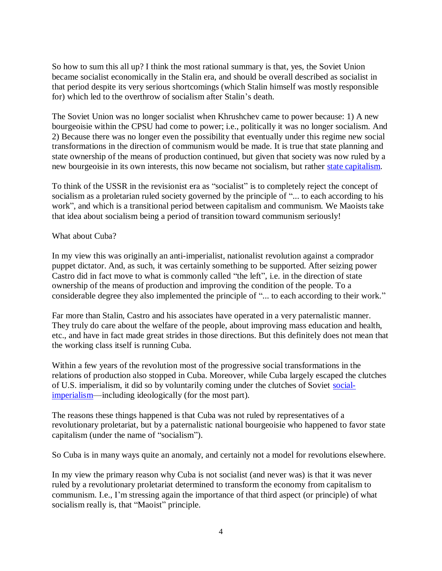So how to sum this all up? I think the most rational summary is that, yes, the Soviet Union became socialist economically in the Stalin era, and should be overall described as socialist in that period despite its very serious shortcomings (which Stalin himself was mostly responsible for) which led to the overthrow of socialism after Stalin's death.

The Soviet Union was no longer socialist when Khrushchev came to power because: 1) A new bourgeoisie within the CPSU had come to power; i.e., politically it was no longer socialism. And 2) Because there was no longer even the possibility that eventually under this regime new social transformations in the direction of communism would be made. It is true that state planning and state ownership of the means of production continued, but given that society was now ruled by a new bourgeoisie in its own interests, this now became not socialism, but rather [state capitalism.](http://www.massline.org/Dictionary/ST.htm#state_capitalism)

To think of the USSR in the revisionist era as "socialist" is to completely reject the concept of socialism as a proletarian ruled society governed by the principle of "... to each according to his work", and which is a transitional period between capitalism and communism. We Maoists take that idea about socialism being a period of transition toward communism seriously!

## What about Cuba?

In my view this was originally an anti-imperialist, nationalist revolution against a comprador puppet dictator. And, as such, it was certainly something to be supported. After seizing power Castro did in fact move to what is commonly called "the left", i.e. in the direction of state ownership of the means of production and improving the condition of the people. To a considerable degree they also implemented the principle of "... to each according to their work."

Far more than Stalin, Castro and his associates have operated in a very paternalistic manner. They truly do care about the welfare of the people, about improving mass education and health, etc., and have in fact made great strides in those directions. But this definitely does not mean that the working class itself is running Cuba.

Within a few years of the revolution most of the progressive social transformations in the relations of production also stopped in Cuba. Moreover, while Cuba largely escaped the clutches of U.S. imperialism, it did so by voluntarily coming under the clutches of Soviet [social](http://www.massline.org/Dictionary/SO.htm#social_imperialism)[imperialism—](http://www.massline.org/Dictionary/SO.htm#social_imperialism)including ideologically (for the most part).

The reasons these things happened is that Cuba was not ruled by representatives of a revolutionary proletariat, but by a paternalistic national bourgeoisie who happened to favor state capitalism (under the name of "socialism").

So Cuba is in many ways quite an anomaly, and certainly not a model for revolutions elsewhere.

In my view the primary reason why Cuba is not socialist (and never was) is that it was never ruled by a revolutionary proletariat determined to transform the economy from capitalism to communism. I.e., I'm stressing again the importance of that third aspect (or principle) of what socialism really is, that "Maoist" principle.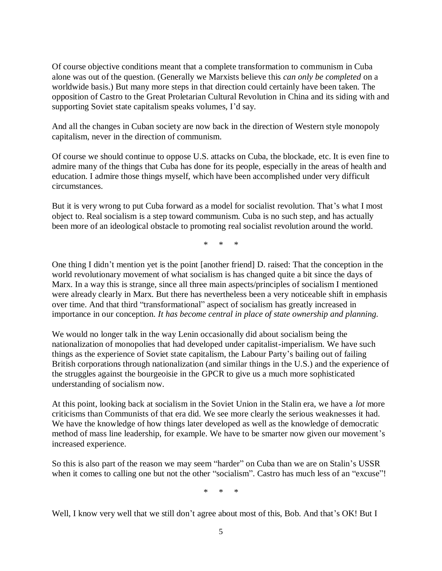Of course objective conditions meant that a complete transformation to communism in Cuba alone was out of the question. (Generally we Marxists believe this *can only be completed* on a worldwide basis.) But many more steps in that direction could certainly have been taken. The opposition of Castro to the Great Proletarian Cultural Revolution in China and its siding with and supporting Soviet state capitalism speaks volumes, I'd say.

And all the changes in Cuban society are now back in the direction of Western style monopoly capitalism, never in the direction of communism.

Of course we should continue to oppose U.S. attacks on Cuba, the blockade, etc. It is even fine to admire many of the things that Cuba has done for its people, especially in the areas of health and education. I admire those things myself, which have been accomplished under very difficult circumstances.

But it is very wrong to put Cuba forward as a model for socialist revolution. That's what I most object to. Real socialism is a step toward communism. Cuba is no such step, and has actually been more of an ideological obstacle to promoting real socialist revolution around the world.

\* \* \*

One thing I didn't mention yet is the point [another friend] D. raised: That the conception in the world revolutionary movement of what socialism is has changed quite a bit since the days of Marx. In a way this is strange, since all three main aspects/principles of socialism I mentioned were already clearly in Marx. But there has nevertheless been a very noticeable shift in emphasis over time. And that third "transformational" aspect of socialism has greatly increased in importance in our conception. *It has become central in place of state ownership and planning.*

We would no longer talk in the way Lenin occasionally did about socialism being the nationalization of monopolies that had developed under capitalist-imperialism. We have such things as the experience of Soviet state capitalism, the Labour Party's bailing out of failing British corporations through nationalization (and similar things in the U.S.) and the experience of the struggles against the bourgeoisie in the GPCR to give us a much more sophisticated understanding of socialism now.

At this point, looking back at socialism in the Soviet Union in the Stalin era, we have a *lot* more criticisms than Communists of that era did. We see more clearly the serious weaknesses it had. We have the knowledge of how things later developed as well as the knowledge of democratic method of mass line leadership, for example. We have to be smarter now given our movement's increased experience.

So this is also part of the reason we may seem "harder" on Cuba than we are on Stalin's USSR when it comes to calling one but not the other "socialism". Castro has much less of an "excuse"!

\* \* \*

Well, I know very well that we still don't agree about most of this, Bob. And that's OK! But I